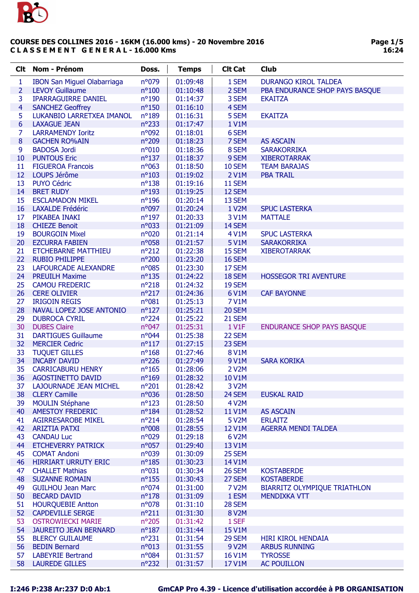

| <b>Clt</b>     | Nom - Prénom                       | Doss.           | <b>Temps</b> | <b>CIt Cat</b> | Club                                |
|----------------|------------------------------------|-----------------|--------------|----------------|-------------------------------------|
| 1              | <b>IBON San Miguel Olabarriaga</b> | n°079           | 01:09:48     | 1 SEM          | <b>DURANGO KIROL TALDEA</b>         |
| $\overline{2}$ | <b>LEVOY Guillaume</b>             | $n^{\circ}100$  | 01:10:48     | 2 SEM          | PBA ENDURANCE SHOP PAYS BASQUE      |
| 3              | <b>IPARRAGUIRRE DANIEL</b>         | nº190           | 01:14:37     | 3 SEM          | <b>EKAITZA</b>                      |
| 4              | <b>SANCHEZ Geoffrey</b>            | $n^{\circ}150$  | 01:16:10     | 4 SEM          |                                     |
| 5              | LUKANBIO LARRETXEA IMANOL          | n°189           | 01:16:31     | 5 SEM          | <b>EKAITZA</b>                      |
| 6              | <b>LAXAGUE JEAN</b>                | $n^{\circ}233$  | 01:17:47     | 1 V1M          |                                     |
| 7              | <b>LARRAMENDY Ioritz</b>           | n°092           | 01:18:01     | 6 SEM          |                                     |
| 8              | <b>GACHEN RO%AIN</b>               | n°209           | 01:18:23     | 7 SEM          | <b>AS ASCAIN</b>                    |
| 9              | <b>BADOSA Jordi</b>                | n°010           | 01:18:36     | 8 SEM          | <b>SARAKORRIKA</b>                  |
| 10             | <b>PUNTOUS Eric</b>                | $n^o$ 137       | 01:18:37     | 9 SEM          | <b>XIBEROTARRAK</b>                 |
| 11             | <b>FIGUEROA Francois</b>           | $n^{\circ}063$  | 01:18:50     | <b>10 SEM</b>  | <b>TEAM BARAJAS</b>                 |
| 12             | LOUPS Jérôme                       | $n^{\circ}103$  | 01:19:02     | 2 V1M          | <b>PBA TRAIL</b>                    |
| 13             | <b>PUYO Cédric</b>                 | $n^o$ 138       | 01:19:16     | <b>11 SEM</b>  |                                     |
| 14             | <b>BRET RUDY</b>                   | $n^o$ 193       | 01:19:25     | 12 SEM         |                                     |
| 15             | <b>ESCLAMADON MIKEL</b>            | $n^o$ 196       | 01:20:14     | 13 SEM         |                                     |
| 16             | <b>LAXALDE Frédéric</b>            | n°097           | 01:20:24     | 1 V2M          | <b>SPUC LASTERKA</b>                |
| 17             | PIKABEA INAKI                      | $n^o$ 197       | 01:20:33     | 3 V1M          | <b>MATTALE</b>                      |
| 18             | <b>CHIEZE Benoit</b>               | n°033           | 01:21:09     | 14 SEM         |                                     |
| 19             | <b>BOURGOIN Mixel</b>              | n°020           | 01:21:14     | 4 V1M          | <b>SPUC LASTERKA</b>                |
| 20             | <b>EZCURRA FABIEN</b>              | n°058           | 01:21:57     | 5 V1M          | <b>SARAKORRIKA</b>                  |
| 21             | <b>ETCHEBARNE MATTHIEU</b>         | $n^{\circ}212$  | 01:22:38     | 15 SEM         | <b>XIBEROTARRAK</b>                 |
| 22             | <b>RUBIO PHILIPPE</b>              | n°200           | 01:23:20     | <b>16 SEM</b>  |                                     |
| 23             | LAFOURCADE ALEXANDRE               | n°085           | 01:23:30     | 17 SEM         |                                     |
| 24             | <b>PREUILH Maxime</b>              | $n^o$ 135       | 01:24:22     | 18 SEM         | <b>HOSSEGOR TRI AVENTURE</b>        |
| 25             | <b>CAMOU FREDERIC</b>              | $n^{\circ}218$  | 01:24:32     | 19 SEM         |                                     |
| 26             | <b>CERE OLIVIER</b>                | $n^{\circ}217$  | 01:24:36     | 6 V1M          | <b>CAF BAYONNE</b>                  |
| 27             | <b>IRIGOIN REGIS</b>               | n°081           | 01:25:13     | 7 V1M          |                                     |
| 28             | NAVAL LOPEZ JOSE ANTONIO           | $n^o$ 127       | 01:25:21     | 20 SEM         |                                     |
| 29             | <b>DUBROCA CYRIL</b>               | $n^{\circ}$ 224 | 01:25:22     | 21 SEM         |                                     |
| 30             | <b>DUBES Claire</b>                | n°047           | 01:25:31     | 1 V1F          | <b>ENDURANCE SHOP PAYS BASQUE</b>   |
| 31             | <b>DARTIGUES Guillaume</b>         | n°044           | 01:25:38     | 22 SEM         |                                     |
| 32             | <b>MERCIER Cedric</b>              | $n^o$ 117       | 01:27:15     | 23 SEM         |                                     |
| 33             | <b>TUQUET GILLES</b>               | $n^o$ 168       | 01:27:46     | 8 V1M          |                                     |
| 34             | <b>INCABY DAVID</b>                | $n^{\circ}226$  | 01:27:49     | 9 V1M          | <b>SARA KORIKA</b>                  |
| 35             | <b>CARRICABURU HENRY</b>           | $n^o$ 165       | 01:28:06     | 2 V2M          |                                     |
| 36             | <b>AGOSTINETTO DAVID</b>           | $n^{\circ}169$  | 01:28:32     | 10 V1M         |                                     |
| 37             | LAJOURNADE JEAN MICHEL             | $n^{\circ}201$  | 01:28:42     | 3 V2M          |                                     |
| 38             | <b>CLERY Camille</b>               | n°036           | 01:28:50     | 24 SEM         | <b>EUSKAL RAID</b>                  |
| 39             | <b>MOULIN Stéphane</b>             | $n^o$ 123       | 01:28:50     | 4 V2M          |                                     |
| 40             | <b>AMESTOY FREDERIC</b>            | $n^{\circ}184$  | 01:28:52     | 11 V1M         | <b>AS ASCAIN</b>                    |
| 41             | <b>AGIRRESAROBE MIKEL</b>          | $n^{\circ}214$  | 01:28:54     | 5 V2M          | <b>ERLAITZ</b>                      |
| 42             | <b>ARIZTIA PATXI</b>               | n°008           | 01:28:55     | 12 V1M         | <b>AGERRA MENDI TALDEA</b>          |
| 43             | <b>CANDAU Luc</b>                  | n°029           | 01:29:18     | 6 V2M          |                                     |
| 44             | <b>ETCHEVERRY PATRICK</b>          | n°057           | 01:29:40     | 13 V1M         |                                     |
| 45             | <b>COMAT Andoni</b>                | n°039           | 01:30:09     | 25 SEM         |                                     |
| 46             | <b>HIRRIART URRUTY ERIC</b>        | $n^o$ 185       | 01:30:23     | 14 V1M         |                                     |
| 47             | <b>CHALLET Mathias</b>             | $n^o$ 031       | 01:30:34     | <b>26 SEM</b>  | <b>KOSTABERDE</b>                   |
| 48             | <b>SUZANNE ROMAIN</b>              | $n^o$ 155       | 01:30:43     | 27 SEM         | <b>KOSTABERDE</b>                   |
| 49             | <b>GUILHOU Jean Marc</b>           | $n^{\circ}074$  | 01:31:00     | 7 V2M          | <b>BIARRITZ OLYMPIQUE TRIATHLON</b> |
| 50             | <b>BECARD DAVID</b>                | $n^o$ 178       | 01:31:09     | 1 ESM          | <b>MENDIXKA VTT</b>                 |
| 51             | <b>HOURQUEBIE Antton</b>           | $n^{\circ}078$  | 01:31:10     | 28 SEM         |                                     |
| 52             | <b>CAPDEVILLE SERGE</b>            | $n^o211$        | 01:31:30     | 8 V2M          |                                     |
| 53             | <b>OSTROWIECKI MARIE</b>           | n°205           | 01:31:42     | 1 SEF          |                                     |
| 54             | <b>JAUREITO JEAN BERNARD</b>       | $n^o$ 187       | 01:31:44     | 15 V1M         |                                     |
| 55             | <b>BLERCY GUILAUME</b>             | $n^{\circ}231$  | 01:31:54     | 29 SEM         | HIRI KIROL HENDAIA                  |
| 56             | <b>BEDIN Bernard</b>               | n°013           | 01:31:55     | 9 V2M          | <b>ARBUS RUNNING</b>                |
| 57             | <b>LABEYRIE Bertrand</b>           | n°084           | 01:31:57     | <b>16 V1M</b>  | <b>TYROSSE</b>                      |
| 58             | <b>LAUREDE GILLES</b>              | $n^{\circ}232$  | 01:31:57     | 17 V1M         | <b>AC POUILLON</b>                  |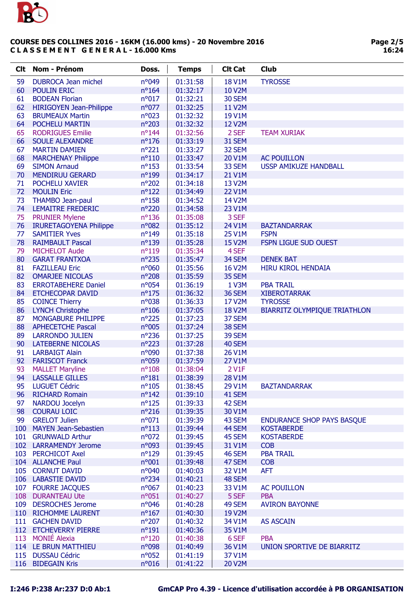

| <b>Clt</b> | Nom - Prénom                   | Doss.           | <b>Temps</b> | <b>Clt Cat</b> | <b>Club</b>                         |
|------------|--------------------------------|-----------------|--------------|----------------|-------------------------------------|
| 59         | <b>DUBROCA Jean michel</b>     | n°049           | 01:31:58     | <b>18 V1M</b>  | <b>TYROSSE</b>                      |
| 60         | <b>POULIN ERIC</b>             | $n^{\circ}164$  | 01:32:17     | 10 V2M         |                                     |
| 61         | <b>BODEAN Florian</b>          | n°017           | 01:32:21     | 30 SEM         |                                     |
| 62         | <b>HIRIGOYEN Jean-Philippe</b> | n°077           | 01:32:25     | <b>11 V2M</b>  |                                     |
| 63         | <b>BRUMEAUX Martin</b>         | $n^{\circ}023$  | 01:32:32     | 19 V1M         |                                     |
| 64         | POCHELU MARTIN                 | n°203           | 01:32:32     | <b>12 V2M</b>  |                                     |
| 65         | <b>RODRIGUES Emilie</b>        | $n^{\circ}$ 144 | 01:32:56     | 2 SEF          | <b>TEAM XURIAK</b>                  |
| 66         | <b>SOULE ALEXANDRE</b>         | $n^o$ 176       | 01:33:19     | 31 SEM         |                                     |
| 67         | <b>MARTIN DAMIEN</b>           | $n^{\circ}221$  | 01:33:27     | 32 SEM         |                                     |
| 68         | <b>MARCHENAY Philippe</b>      | $n^o110$        | 01:33:47     | 20 V1M         | <b>AC POUILLON</b>                  |
| 69         | <b>SIMON Arnaud</b>            | $n^o$ 153       | 01:33:54     | 33 SEM         | <b>USSP AMIKUZE HANDBALL</b>        |
| 70         | <b>MENDIRUU GERARD</b>         | nº199           | 01:34:17     | 21 V1M         |                                     |
| 71         | POCHELU XAVIER                 | nº202           | 01:34:18     | 13 V2M         |                                     |
| 72         | <b>MOULIN Eric</b>             | $n^o$ 122       | 01:34:49     | <b>22 V1M</b>  |                                     |
| 73         | <b>THAMBO Jean-paul</b>        | $n^o$ 158       | 01:34:52     | 14 V2M         |                                     |
| 74         | <b>LEMAITRE FREDERIC</b>       | nº220           | 01:34:58     | 23 V1M         |                                     |
| 75         | <b>PRUNIER Mylene</b>          | $n^o$ 136       | 01:35:08     | 3 SEF          |                                     |
| 76         | <b>IRURETAGOYENA Philippe</b>  | n°082           | 01:35:12     | 24 V1M         | <b>BAZTANDARRAK</b>                 |
| 77         | <b>SAMITIER Yves</b>           | $n^o$ 149       | 01:35:18     | 25 V1M         | <b>FSPN</b>                         |
| 78         | <b>RAIMBAULT Pascal</b>        | nº139           | 01:35:28     | <b>15 V2M</b>  | FSPN LIGUE SUD OUEST                |
| 79         | <b>MICHELOT Aude</b>           | $n^o119$        | 01:35:34     | 4 SEF          |                                     |
| 80         | <b>GARAT FRANTXOA</b>          | n°235           | 01:35:47     | 34 SEM         | <b>DENEK BAT</b>                    |
| 81         | <b>FAZILLEAU Eric</b>          | nº060           | 01:35:56     | <b>16 V2M</b>  | HIRU KIROL HENDAIA                  |
| 82         | <b>OMARJEE NICOLAS</b>         | nº208           | 01:35:59     | 35 SEM         |                                     |
| 83         | <b>ERROTABEHERE Daniel</b>     | nº054           | 01:36:19     | 1 V3M          | <b>PBA TRAIL</b>                    |
| 84         | <b>ETCHECOPAR DAVID</b>        | $n^o$ 175       | 01:36:32     | <b>36 SEM</b>  | <b>XIBEROTARRAK</b>                 |
| 85         | <b>COINCE Thierry</b>          | n°038           | 01:36:33     | 17 V2M         | <b>TYROSSE</b>                      |
| 86         | <b>LYNCH Christophe</b>        | $n^{\circ}106$  | 01:37:05     | <b>18 V2M</b>  | <b>BIARRITZ OLYMPIQUE TRIATHLON</b> |
| 87         | MONGABURE PHILIPPE             | $n^{\circ}225$  | 01:37:23     | 37 SEM         |                                     |
| 88         | <b>APHECETCHE Pascal</b>       | n°005           | 01:37:24     | 38 SEM         |                                     |
| 89         | <b>LARRONDO JULIEN</b>         | $n^{\circ}236$  | 01:37:25     | 39 SEM         |                                     |
| 90         | LATEBERNE NICOLAS              | $n^{\circ}223$  | 01:37:28     | 40 SEM         |                                     |
| 91         | <b>LARBAIGT Alain</b>          | n°090           | 01:37:38     | 26 V1M         |                                     |
| 92         | <b>FARISCOT Franck</b>         | n°059           | 01:37:59     | <b>27 V1M</b>  |                                     |
| 93         | <b>MALLET Maryline</b>         | $n^{\circ}108$  | 01:38:04     | 2 V1F          |                                     |
| 94         | <b>LASSALLE GILLES</b>         | $n^o$ 181       | 01:38:39     | 28 V1M         |                                     |
| 95         | <b>LUGUET Cédric</b>           | $n^{\circ}105$  | 01:38:45     | 29 V1M         | <b>BAZTANDARRAK</b>                 |
| 96         | <b>RICHARD Romain</b>          | $n^{\circ}142$  | 01:39:10     | 41 SEM         |                                     |
| 97         | <b>NARDOU Jocelyn</b>          | $n^{\circ}125$  | 01:39:33     | 42 SEM         |                                     |
| 98         | <b>COURAU LOIC</b>             | $n^{\circ}216$  | 01:39:35     | 30 V1M         |                                     |
| 99         | <b>GRELOT Julien</b>           | n°071           | 01:39:39     | 43 SEM         | <b>ENDURANCE SHOP PAYS BASQUE</b>   |
| 100        | <b>MAYEN Jean-Sebastien</b>    | $n^o$ 113       | 01:39:44     | 44 SEM         | <b>KOSTABERDE</b>                   |
| 101        | <b>GRUNWALD Arthur</b>         | $n^{\circ}072$  | 01:39:45     | 45 SEM         | <b>KOSTABERDE</b>                   |
|            | 102 LARRAMENDY Jerome          | n°093           | 01:39:45     | 31 V1M         | <b>COB</b>                          |
|            | 103 PERCHICOT Axel             | $n^{\circ}129$  | 01:39:45     | 46 SEM         | <b>PBA TRAIL</b>                    |
|            | 104 ALLANCHE Paul              | n°001           | 01:39:48     | 47 SEM         | <b>COB</b>                          |
|            | 105 CORNUT DAVID               | n°040           | 01:40:03     | 32 V1M         | <b>AFT</b>                          |
|            | 106 LABASTIE DAVID             | $n^{\circ}234$  | 01:40:21     | 48 SEM         |                                     |
|            | 107 FOURRE JACQUES             | $n^{\circ}067$  | 01:40:23     | 33 V1M         | <b>AC POUILLON</b>                  |
|            | 108 DURANTEAU Ute              | n°051           | 01:40:27     | 5 SEF          | <b>PBA</b>                          |
|            | 109 DESROCHES Jerome           | n°046           | 01:40:28     | 49 SEM         | <b>AVIRON BAYONNE</b>               |
|            | 110 RICHOMME LAURENT           | $n^{\circ}167$  | 01:40:30     | 19 V2M         |                                     |
| 111        | <b>GACHEN DAVID</b>            | $n^{\circ}207$  | 01:40:32     | 34 V1M         | <b>AS ASCAIN</b>                    |
|            | 112 ETCHEVERRY PIERRE          | $n^o$ 191       | 01:40:36     | 35 V1M         |                                     |
|            | 113 MONIÉ Alexia               | $n^{\circ}120$  | 01:40:38     | 6 SEF          | <b>PBA</b>                          |
|            | 114 LE BRUN MATTHIEU           | n°098           | 01:40:49     | 36 V1M         | UNION SPORTIVE DE BIARRITZ          |
|            | 115 DUSSAU Cédric              | $n^{\circ}052$  | 01:41:19     | 37 V1M         |                                     |
|            | 116 BIDEGAIN Kris              | n°016           | 01:41:22     | 20 V2M         |                                     |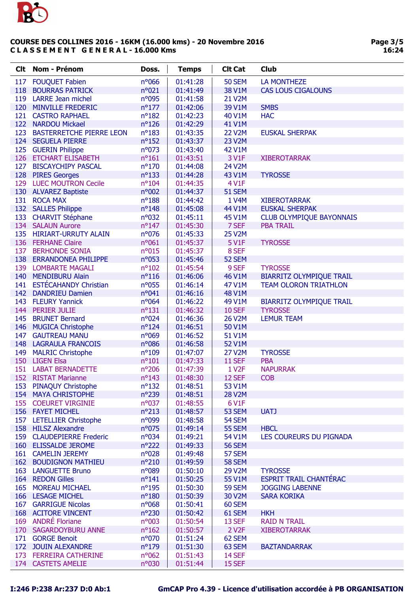

| <b>Clt</b> | Nom - Prénom                              | Doss.                    | <b>Temps</b> | <b>Clt Cat</b>     | Club                            |
|------------|-------------------------------------------|--------------------------|--------------|--------------------|---------------------------------|
| 117        | <b>FOUQUET Fabien</b>                     | n°066                    | 01:41:28     | <b>50 SEM</b>      | <b>LA MONTHEZE</b>              |
| 118        | <b>BOURRAS PATRICK</b>                    | n°021                    | 01:41:49     | 38 V1M             | <b>CAS LOUS CIGALOUNS</b>       |
| 119        | <b>LARRE Jean michel</b>                  | n°095                    | 01:41:58     | 21 V2M             |                                 |
| 120        | <b>MINVILLE FREDERIC</b>                  | $n^{\circ}177$           | 01:42:06     | 39 V1M             | <b>SMBS</b>                     |
|            | 121 CASTRO RAPHAEL                        | $n^o$ 182                | 01:42:23     | 40 V1M             | <b>HAC</b>                      |
| 122        | <b>NARDOU Mickael</b>                     | $n^o$ 126                | 01:42:29     | 41 V1M             |                                 |
| 123        | <b>BASTERRETCHE PIERRE LEON</b>           | $n^o$ 183                | 01:43:35     | <b>22 V2M</b>      | <b>EUSKAL SHERPAK</b>           |
|            | 124 SEGUELA PIERRE                        | $n^o$ 152                | 01:43:37     | <b>23 V2M</b>      |                                 |
|            | 125 GUERIN Philippe                       | $n^{\circ}073$           | 01:43:40     | 42 V1M             |                                 |
|            | 126 ETCHART ELISABETH                     | $n^o$ 161                | 01:43:51     | 3 V1F              | <b>XIBEROTARRAK</b>             |
| 127        | <b>BISCAYCHIPY PASCAL</b>                 | $n^{\circ}170$           | 01:44:08     | 24 V2M             |                                 |
|            | 128 PIRES Georges                         | $n^{\circ}133$           | 01:44:28     | 43 V1M             | <b>TYROSSE</b>                  |
| 129        | <b>LUEC MOUTRON Cecile</b>                | $n^{\circ}104$           | 01:44:35     | 4 V1F              |                                 |
|            | 130 ALVAREZ Baptiste                      | n°002                    | 01:44:37     | <b>51 SEM</b>      |                                 |
| 131        | <b>ROCA MAX</b>                           | $n^o$ 188                | 01:44:42     | 1 V4M              | <b>XIBEROTARRAK</b>             |
|            |                                           | $n^{\circ}$ 148          |              |                    | <b>EUSKAL SHERPAK</b>           |
|            | 132 SALLES Philippe                       |                          | 01:45:08     | 44 V1M             |                                 |
|            | 133 CHARVIT Stéphane<br>134 SALAUN Aurore | n°032<br>$n^{\circ}$ 147 | 01:45:11     | 45 V1M<br>7 SEF    | <b>CLUB OLYMPIQUE BAYONNAIS</b> |
|            | 135 HIRIART-URRUTY ALAIN                  |                          | 01:45:30     | <b>25 V2M</b>      | <b>PBA TRAIL</b>                |
|            | 136 FERHANE Claire                        | n°076                    | 01:45:33     |                    |                                 |
|            |                                           | n°061                    | 01:45:37     | 5 V1F              | <b>TYROSSE</b>                  |
| 137        | <b>BERHONDE SONIA</b>                     | $n^{\circ}015$           | 01:45:37     | 8 SEF              |                                 |
| 138        | <b>ERRANDONEA PHILIPPE</b>                | n°053                    | 01:45:46     | 52 SEM             |                                 |
| 139        | <b>LOMBARTE MAGALI</b>                    | $n^{\circ}102$           | 01:45:54     | 9 SEF              | <b>TYROSSE</b>                  |
| 140        | <b>MENDIBURU Alain</b>                    | $n^o$ 116                | 01:46:06     | 46 V1M             | <b>BIARRITZ OLYMPIQUE TRAIL</b> |
| 141        | <b>ESTÉCAHANDY Christian</b>              | n°055                    | 01:46:14     | 47 V1M             | <b>TEAM OLORON TRIATHLON</b>    |
|            | 142 DANDRIEU Damien                       | n°041                    | 01:46:16     | 48 V1M             |                                 |
|            | 143 FLEURY Yannick                        | $n^{\circ}064$           | 01:46:22     | 49 V1M             | <b>BIARRITZ OLYMPIQUE TRAIL</b> |
|            | 144 PERIER JULIE                          | $n^o$ 131                | 01:46:32     | <b>10 SEF</b>      | <b>TYROSSE</b>                  |
| 145        | <b>BRUNET Bernard</b>                     | $n^{\circ}024$           | 01:46:36     | 26 V2M             | <b>LEMUR TEAM</b>               |
| 146        | <b>MUGICA Christophe</b>                  | $n^{\circ}124$           | 01:46:51     | 50 V1M             |                                 |
| 147        | <b>GAUTREAU MANU</b>                      | n°069                    | 01:46:52     | 51 V1M             |                                 |
| 148        | <b>LAGRAULA FRANCOIS</b>                  | n°086                    | 01:46:58     | 52 V1M             |                                 |
| 149        | <b>MALRIC Christophe</b>                  | $n^{\circ}109$           | 01:47:07     | 27 V2M             | <b>TYROSSE</b>                  |
| 150        | <b>LIGEN Elsa</b>                         | $n^{\circ}101$           | 01:47:33     | <b>11 SEF</b>      | <b>PBA</b>                      |
| 151        | <b>LABAT BERNADETTE</b>                   | $n^{\circ}206$           | 01:47:39     | 1 V <sub>2</sub> F | <b>NAPURRAK</b>                 |
|            | 152 RISTAT Marianne                       | $n^{\circ}143$           | 01:48:30     | 12 SEF             | <b>COB</b>                      |
| 153        | <b>PINAQUY Christophe</b>                 | $n^o$ 132                | 01:48:51     | 53 V1M             |                                 |
| 154        | <b>MAYA CHRISTOPHE</b>                    | $n^{\circ}$ 239          | 01:48:51     | <b>28 V2M</b>      |                                 |
| 155        | <b>COEURET VIRGINIE</b>                   | n°037                    | 01:48:55     | 6 V1F              |                                 |
|            | 156 FAYET MICHEL                          | $n^{\circ}213$           | 01:48:57     | 53 SEM             | <b>UATJ</b>                     |
| 157        | <b>LETELLIER Christophe</b>               | n°099                    | 01:48:58     | 54 SEM             |                                 |
| 158        | <b>HILSZ Alexandre</b>                    | n°075                    | 01:49:14     | <b>55 SEM</b>      | <b>HBCL</b>                     |
| 159        | <b>CLAUDEPIERRE Frederic</b>              | n°034                    | 01:49:21     | 54 V1M             | LES COUREURS DU PIGNADA         |
| 160        | <b>ELISSALDE JEROME</b>                   | $n^{\circ}222$           | 01:49:33     | <b>56 SEM</b>      |                                 |
| 161        | <b>CAMELIN JEREMY</b>                     | n°028                    | 01:49:48     | 57 SEM             |                                 |
| 162        | <b>BOUDIGNON MATHIEU</b>                  | $n^{\circ}210$           | 01:49:59     | <b>58 SEM</b>      |                                 |
| 163        | <b>LANGUETTE Bruno</b>                    | n°089                    | 01:50:10     | 29 V2M             | <b>TYROSSE</b>                  |
| 164        | <b>REDON Gilles</b>                       | $n^o$ 141                | 01:50:25     | 55 V1M             | <b>ESPRIT TRAIL CHANTÉRAC</b>   |
| 165        | <b>MOREAU MICHAEL</b>                     | $n^o$ 195                | 01:50:30     | <b>59 SEM</b>      | <b>JOGGING LABENNE</b>          |
| 166        | <b>LESAGE MICHEL</b>                      | $n^{\circ}180$           | 01:50:39     | 30 V2M             | <b>SARA KORIKA</b>              |
| 167        | <b>GARRIGUE Nicolas</b>                   | n°068                    | 01:50:41     | 60 SEM             |                                 |
| 168        | <b>ACITORE VINCENT</b>                    | $n^{\circ}230$           | 01:50:42     | 61 SEM             | <b>HKH</b>                      |
| 169        | <b>ANDRÉ Floriane</b>                     | n°003                    | 01:50:54     | 13 SEF             | <b>RAID N TRAIL</b>             |
| 170        | <b>SAGARDOYBURU ANNE</b>                  | $n^{\circ}162$           | 01:50:57     | 2 V <sub>2</sub> F | <b>XIBEROTARRAK</b>             |
| 171        | <b>GORGE Benoit</b>                       | n°070                    | 01:51:24     | 62 SEM             |                                 |
| 172        | <b>JOUIN ALEXANDRE</b>                    | $n^{\circ}179$           | 01:51:30     | 63 SEM             | <b>BAZTANDARRAK</b>             |
| 173        | <b>FERREIRA CATHERINE</b>                 | n°062                    | 01:51:43     | 14 SEF             |                                 |
|            | 174 CASTETS AMELIE                        | n°030                    | 01:51:44     | 15 SEF             |                                 |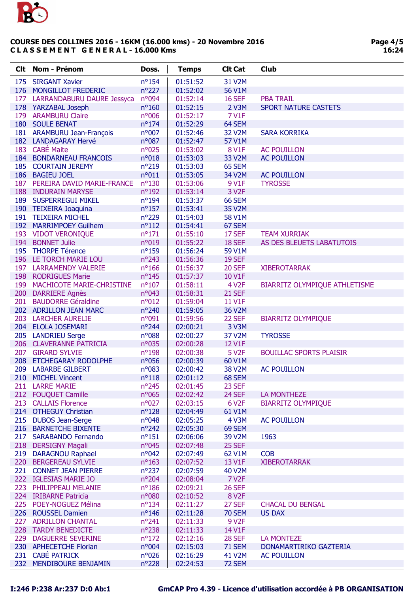

| <b>Clt</b> | <b>Nom - Prénom</b>              | Doss.           | <b>Temps</b> | <b>Clt Cat</b>     | <b>Club</b>                    |
|------------|----------------------------------|-----------------|--------------|--------------------|--------------------------------|
| 175        | <b>SIRGANT Xavier</b>            | $n^o$ 154       | 01:51:52     | 31 V2M             |                                |
| 176        | MONGILLOT FREDERIC               | $n^{\circ}227$  | 01:52:02     | 56 V1M             |                                |
|            | 177 LARRANDABURU DAURE Jessyca   | n°094           | 01:52:14     | <b>16 SEF</b>      | <b>PBA TRAIL</b>               |
|            | 178 YARZABAL Joseph              | $n^{\circ}160$  | 01:52:15     | 2 V3M              | <b>SPORT NATURE CASTETS</b>    |
|            | 179 ARAMBURU Claire              | n°006           | 01:52:17     | <b>7 V1F</b>       |                                |
|            | 180 SOULE BENAT                  | $n^{\circ}174$  | 01:52:29     | 64 SEM             |                                |
|            | 181 ARAMBURU Jean-François       | n°007           | 01:52:46     | 32 V2M             | <b>SARA KORRIKA</b>            |
|            | 182 LANDAGARAY Hervé             | $n^o$ 087       | 01:52:47     | 57 V1M             |                                |
|            | 183 CABÉ Maite                   | n°025           | 01:53:02     | <b>8 V1F</b>       | <b>AC POUILLON</b>             |
|            | <b>184 BONDARNEAU FRANCOIS</b>   | n°018           | 01:53:03     | 33 V2M             | <b>AC POUILLON</b>             |
|            | 185 COURTAIN JEREMY              | $n^{\circ}219$  | 01:53:03     | 65 SEM             |                                |
|            | 186 BAGIEU JOEL                  | n°011           | 01:53:05     | 34 V2M             | <b>AC POUILLON</b>             |
|            | 187 PEREIRA DAVID MARIE-FRANCE   | $n^{\circ}130$  | 01:53:06     | 9 V1F              | <b>TYROSSE</b>                 |
|            | <b>188 INDURAIN MARYSE</b>       | $n^{\circ}192$  | 01:53:14     | 3 V <sub>2</sub> F |                                |
|            | <b>189 SUSPERREGUI MIKEL</b>     | $n^o$ 194       | 01:53:37     | 66 SEM             |                                |
|            | 190 TEIXEIRA Joaquina            | $n^o$ 157       | 01:53:41     | 35 V2M             |                                |
|            | 191 TEIXEIRA MICHEL              | n°229           | 01:54:03     | 58 V1M             |                                |
|            | 192 MARRIMPOEY Guilhem           | $n^o$ 112       | 01:54:41     | 67 SEM             |                                |
|            | 193 VIDOT VERONIQUE              | $n^o$ 171       | 01:55:10     | 17 SEF             | <b>TEAM XURRIAK</b>            |
| 194        | <b>BONNET Julie</b>              | n°019           | 01:55:22     | 18 SEF             | AS DES BLEUETS LABATUTOIS      |
|            | 195 THORPE Térence               | $n^{\circ}159$  | 01:56:24     | 59 V1M             |                                |
|            | 196 LE TORCH MARIE LOU           | $n^{\circ}243$  | 01:56:36     | <b>19 SEF</b>      |                                |
|            | 197 LARRAMENDY VALERIE           | $n^{\circ}166$  | 01:56:37     | <b>20 SEF</b>      | <b>XIBEROTARRAK</b>            |
|            | 198 RODRIGUES Marie              | $n^{\circ}$ 145 | 01:57:37     | 10 V1F             |                                |
| 199        | <b>MACHICOTE MARIE-CHRISTINE</b> | $n^{\circ}107$  | 01:58:11     | 4 V <sub>2</sub> F | BIARRITZ OLYMPIQUE ATHLETISME  |
|            | 200 DARRIERE Agnès               | n°043           | 01:58:31     | <b>21 SEF</b>      |                                |
| 201        | <b>BAUDORRE Géraldine</b>        | $n^{\circ}012$  | 01:59:04     | 11 V1F             |                                |
|            | 202 ADRILLON JEAN MARC           | nº240           | 01:59:05     | 36 V2M             |                                |
|            | 203 LARCHER AURELIE              | n°091           | 01:59:56     | 22 SEF             | <b>BIARRITZ OLYMPIQUE</b>      |
|            | 204 ELOLA JOSEMARI               | $n^{\circ}$ 244 | 02:00:21     | 3 V3M              |                                |
|            | 205 LANDRIEU Serge               | $n^o$ 088       | 02:00:27     | 37 V2M             | <b>TYROSSE</b>                 |
|            | 206 CLAVERANNE PATRICIA          | n°035           | 02:00:28     | 12 V1F             |                                |
|            | 207 GIRARD SYLVIE                | $n^o$ 198       | 02:00:38     | 5 V <sub>2</sub> F | <b>BOUILLAC SPORTS PLAISIR</b> |
| 208        | ETCHEGARAY RODOLPHE              | n°056           | 02:00:39     | 60 V1M             |                                |
| 209        | <b>LABARBE GILBERT</b>           | n°083           | 02:00:42     | <b>38 V2M</b>      | <b>AC POUILLON</b>             |
| 210        | <b>MICHEL Vincent</b>            | $n^o$ 118       | 02:01:12     | 68 SEM             |                                |
|            | 211 LARRE MARIE                  | $n^{\circ}245$  | 02:01:45     | 23 SEF             |                                |
|            | 212 FOUQUET Camille              | n°065           | 02:02:42     | 24 SEF             | LA MONTHEZE                    |
|            | 213 CALLAIS Florence             | $n^{\circ}027$  | 02:03:15     | 6 V <sub>2</sub> F | <b>BIARRITZ OLYMPIQUE</b>      |
|            | 214 OTHEGUY Christian            | $n^{\circ}128$  | 02:04:49     | 61 V1M             |                                |
| 215        | <b>DUBOS Jean-Serge</b>          | $n^{\circ}048$  | 02:05:25     | 4 V3M              | <b>AC POUILLON</b>             |
| 216        | <b>BARNETCHE BIXENTE</b>         | $n^{\circ}242$  | 02:05:30     | 69 SEM             |                                |
|            | 217 SARABANDO Fernando           | $n^o$ 151       | 02:06:06     | 39 V2M             | 1963                           |
| 218        | <b>DERSIGNY Magali</b>           | n°045           | 02:07:48     | 25 SEF             |                                |
| 219        | <b>DARAGNOU Raphael</b>          | $n^{\circ}042$  | 02:07:49     | 62 V1M             | <b>COB</b>                     |
| 220        | <b>BERGEREAU SYLVIE</b>          | $n^{\circ}163$  | 02:07:52     | 13 V1F             | <b>XIBEROTARRAK</b>            |
|            | 221 CONNET JEAN PIERRE           | $n^{\circ}237$  | 02:07:59     | 40 V2M             |                                |
|            | 222 IGLESIAS MARIE JO            | $n^{\circ}204$  | 02:08:04     | <b>7 V2F</b>       |                                |
|            | 223 PHILIPPEAU MELANIE           | $n^{\circ}186$  | 02:09:21     | <b>26 SEF</b>      |                                |
|            | 224 IRIBARNE Patricia            | n°080           | 02:10:52     | 8 V <sub>2</sub> F |                                |
|            | 225 POEY-NOGUEZ Mélina           | $n^{\circ}$ 134 | 02:11:27     | 27 SEF             | <b>CHACAL DU BENGAL</b>        |
|            | 226 ROUSSEL Damien               | $n^{\circ}$ 146 | 02:11:28     | <b>70 SEM</b>      | <b>US DAX</b>                  |
|            | 227 ADRILLON CHANTAL             | $n^{\circ}241$  | 02:11:33     | 9 V <sub>2</sub> F |                                |
|            | 228 TARDY BENEDICTE              | $n^{\circ}238$  | 02:11:33     | 14 V1F             |                                |
| 229        | <b>DAGUERRE SEVERINE</b>         | $n^{\circ}172$  | 02:12:16     | <b>28 SEF</b>      | <b>LA MONTEZE</b>              |
|            | 230 APHECETCHE Florian           | n°004           | 02:15:03     | <b>71 SEM</b>      | DONAMARTIRIKO GAZTERIA         |
| 231        | <b>CABÉ PATRICK</b>              | n°026           | 02:16:29     | 41 V2M             | <b>AC POUILLON</b>             |
|            | 232 MENDIBOURE BENJAMIN          | $n^{\circ}228$  | 02:24:53     | 72 SEM             |                                |